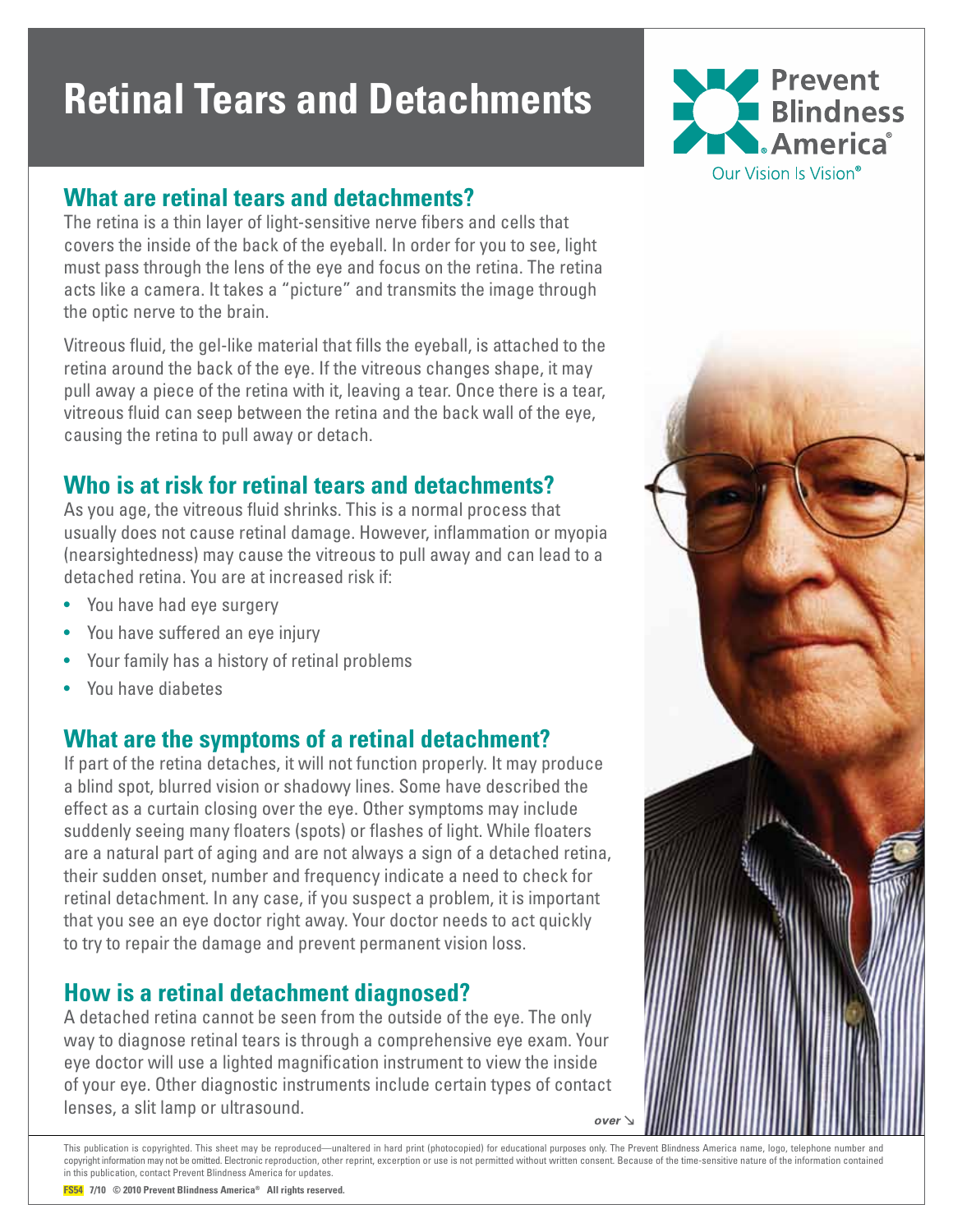# **Retinal Tears and Detachments**



#### **What are retinal tears and detachments?**

The retina is a thin layer of light-sensitive nerve fibers and cells that covers the inside of the back of the eyeball. In order for you to see, light must pass through the lens of the eye and focus on the retina. The retina acts like a camera. It takes a "picture" and transmits the image through the optic nerve to the brain.

Vitreous fluid, the gel-like material that fills the eyeball, is attached to the retina around the back of the eye. If the vitreous changes shape, it may pull away a piece of the retina with it, leaving a tear. Once there is a tear, vitreous fluid can seep between the retina and the back wall of the eye, causing the retina to pull away or detach.

## **Who is at risk for retinal tears and detachments?**

As you age, the vitreous fluid shrinks. This is a normal process that usually does not cause retinal damage. However, inflammation or myopia (nearsightedness) may cause the vitreous to pull away and can lead to a detached retina. You are at increased risk if:

- You have had eye surgery
- You have suffered an eye injury
- Your family has a history of retinal problems
- You have diabetes

## **What are the symptoms of a retinal detachment?**

If part of the retina detaches, it will not function properly. It may produce a blind spot, blurred vision or shadowy lines. Some have described the effect as a curtain closing over the eye. Other symptoms may include suddenly seeing many floaters (spots) or flashes of light. While floaters are a natural part of aging and are not always a sign of a detached retina, their sudden onset, number and frequency indicate a need to check for retinal detachment. In any case, if you suspect a problem, it is important that you see an eye doctor right away. Your doctor needs to act quickly to try to repair the damage and prevent permanent vision loss.

## **How is a retinal detachment diagnosed?**

A detached retina cannot be seen from the outside of the eye. The only way to diagnose retinal tears is through a comprehensive eye exam. Your eye doctor will use a lighted magnification instrument to view the inside of your eye. Other diagnostic instruments include certain types of contact lenses, a slit lamp or ultrasound. over



This publication is copyrighted. This sheet may be reproduced—unaltered in hard print (photocopied) for educational purposes only. The Prevent Blindness America name, logo, telephone number and copyright information may not be omitted. Electronic reproduction, other reprint, excerption or use is not permitted without written consent. Because of the time-sensitive nature of the information contained in this publication, contact Prevent Blindness America for updates.